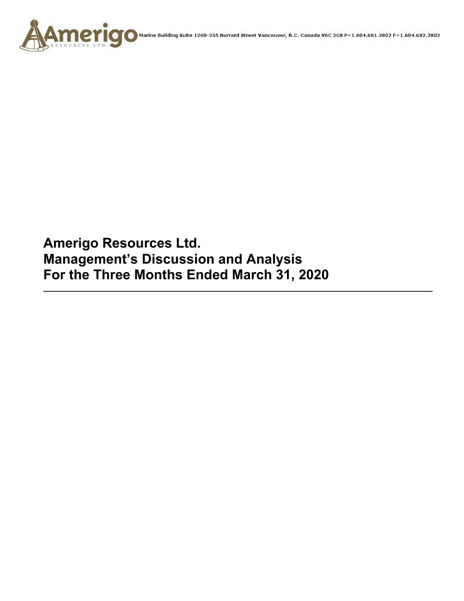

**Amerigo Resources Ltd. Management's Discussion and Analysis For the Three Months Ended March 31, 2020** 

**\_\_\_\_\_\_\_\_\_\_\_\_\_\_\_\_\_\_\_\_\_\_\_\_\_\_\_\_\_\_\_\_\_\_\_\_\_\_\_\_\_\_\_\_\_\_\_\_\_\_\_\_\_\_\_\_\_\_\_\_\_\_\_\_\_\_\_\_\_\_\_\_\_\_\_\_\_\_\_\_\_\_\_\_**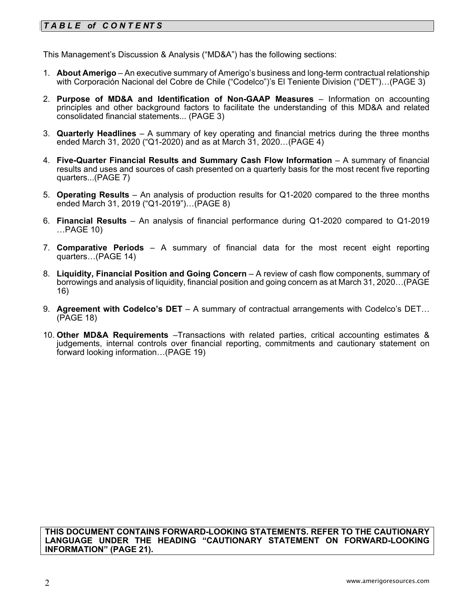# *T A B L E of C O N T E NT S*

This Management's Discussion & Analysis ("MD&A") has the following sections:

- 1. **About Amerigo**  An executive summary of Amerigo's business and long-term contractual relationship with Corporación Nacional del Cobre de Chile ("Codelco")'s El Teniente Division ("DET")…(PAGE 3)
- 2. **Purpose of MD&A and Identification of Non-GAAP Measures**  Information on accounting principles and other background factors to facilitate the understanding of this MD&A and related consolidated financial statements... (PAGE 3)
- 3. **Quarterly Headlines** A summary of key operating and financial metrics during the three months ended March 31, 2020 ("Q1-2020) and as at March 31, 2020…(PAGE 4)
- 4. Five-Quarter Financial Results and Summary Cash Flow Information A summary of financial results and uses and sources of cash presented on a quarterly basis for the most recent five reporting quarters...(PAGE 7)
- 5. **Operating Results** An analysis of production results for Q1-2020 compared to the three months ended March 31, 2019 ("Q1-2019")…(PAGE 8)
- 6. **Financial Results**  An analysis of financial performance during Q1-2020 compared to Q1-2019 …PAGE 10)
- 7. **Comparative Periods** A summary of financial data for the most recent eight reporting quarters…(PAGE 14)
- 8. **Liquidity, Financial Position and Going Concern** A review of cash flow components, summary of borrowings and analysis of liquidity, financial position and going concern as at March 31, 2020…(PAGE 16)
- 9. **Agreement with Codelco's DET** A summary of contractual arrangements with Codelco's DET… (PAGE 18)
- 10. **Other MD&A Requirements** –Transactions with related parties, critical accounting estimates & judgements, internal controls over financial reporting, commitments and cautionary statement on forward looking information…(PAGE 19)

**THIS DOCUMENT CONTAINS FORWARD-LOOKING STATEMENTS. REFER TO THE CAUTIONARY LANGUAGE UNDER THE HEADING "CAUTIONARY STATEMENT ON FORWARD-LOOKING INFORMATION" (PAGE 21).**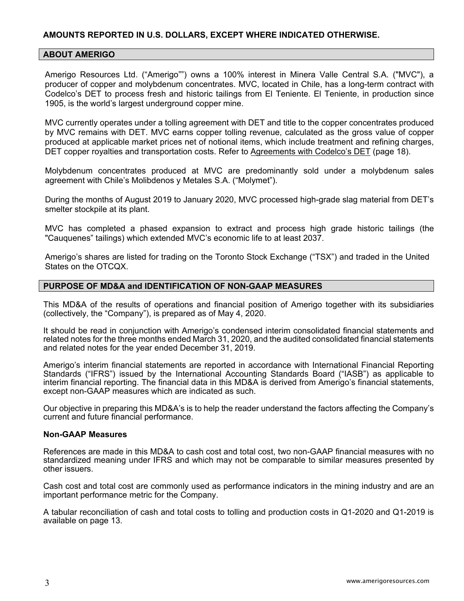# **AMOUNTS REPORTED IN U.S. DOLLARS, EXCEPT WHERE INDICATED OTHERWISE.**

#### **ABOUT AMERIGO**

Amerigo Resources Ltd. ("Amerigo"") owns a 100% interest in Minera Valle Central S.A. ("MVC"), a producer of copper and molybdenum concentrates. MVC, located in Chile, has a long-term contract with Codelco's DET to process fresh and historic tailings from El Teniente. El Teniente, in production since 1905, is the world's largest underground copper mine.

MVC currently operates under a tolling agreement with DET and title to the copper concentrates produced by MVC remains with DET. MVC earns copper tolling revenue, calculated as the gross value of copper produced at applicable market prices net of notional items, which include treatment and refining charges, DET copper royalties and transportation costs. Refer to Agreements with Codelco's DET (page 18).

Molybdenum concentrates produced at MVC are predominantly sold under a molybdenum sales agreement with Chile's Molibdenos y Metales S.A. ("Molymet").

During the months of August 2019 to January 2020, MVC processed high-grade slag material from DET's smelter stockpile at its plant.

MVC has completed a phased expansion to extract and process high grade historic tailings (the "Cauquenes" tailings) which extended MVC's economic life to at least 2037.

Amerigo's shares are listed for trading on the Toronto Stock Exchange ("TSX") and traded in the United States on the OTCQX.

#### **PURPOSE OF MD&A and IDENTIFICATION OF NON-GAAP MEASURES**

This MD&A of the results of operations and financial position of Amerigo together with its subsidiaries (collectively, the "Company"), is prepared as of May 4, 2020.

It should be read in conjunction with Amerigo's condensed interim consolidated financial statements and related notes for the three months ended March 31, 2020, and the audited consolidated financial statements and related notes for the year ended December 31, 2019.

Amerigo's interim financial statements are reported in accordance with International Financial Reporting Standards ("IFRS") issued by the International Accounting Standards Board ("IASB") as applicable to interim financial reporting. The financial data in this MD&A is derived from Amerigo's financial statements, except non-GAAP measures which are indicated as such.

Our objective in preparing this MD&A's is to help the reader understand the factors affecting the Company's current and future financial performance.

#### **Non-GAAP Measures**

References are made in this MD&A to cash cost and total cost, two non-GAAP financial measures with no standardized meaning under IFRS and which may not be comparable to similar measures presented by other issuers.

Cash cost and total cost are commonly used as performance indicators in the mining industry and are an important performance metric for the Company.

A tabular reconciliation of cash and total costs to tolling and production costs in Q1-2020 and Q1-2019 is available on page 13.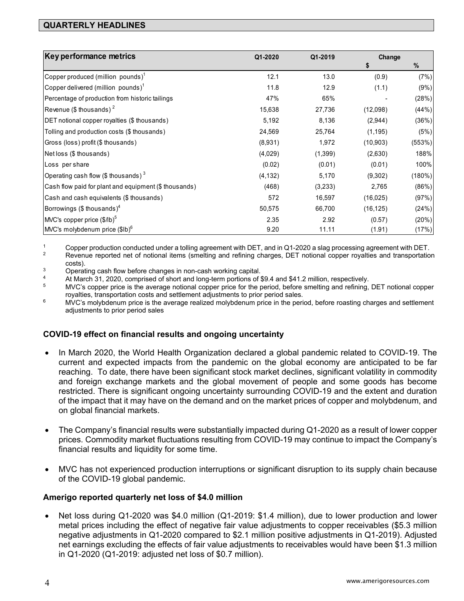# **QUARTERLY HEADLINES**

| Key performance metrics                               | Q1-2020  | Q1-2019  | Change    |               |
|-------------------------------------------------------|----------|----------|-----------|---------------|
|                                                       |          |          | æ         | $\frac{9}{6}$ |
| Copper produced (million pounds) <sup>1</sup>         | 12.1     | 13.0     | (0.9)     | (7%)          |
| Copper delivered (million pounds) $^1$                | 11.8     | 12.9     | (1.1)     | (9%)          |
| Percentage of production from historic tailings       | 47%      | 65%      |           | (28%)         |
| Revenue (\$ thousands) <sup>2</sup>                   | 15,638   | 27,736   | (12,098)  | (44%)         |
| DET notional copper royalties (\$ thousands)          | 5,192    | 8,136    | (2,944)   | (36%)         |
| Tolling and production costs (\$ thousands)           | 24,569   | 25,764   | (1, 195)  | (5%)          |
| Gross (loss) profit (\$ thousands)                    | (8,931)  | 1,972    | (10,903)  | (553%)        |
| Net loss (\$ thousands)                               | (4,029)  | (1, 399) | (2,630)   | 188%          |
| Loss per share                                        | (0.02)   | (0.01)   | (0.01)    | 100%          |
| Operating cash flow (\$ thousands) $3$                | (4, 132) | 5,170    | (9,302)   | (180%)        |
| Cash flow paid for plant and equipment (\$ thousands) | (468)    | (3,233)  | 2,765     | (86%)         |
| Cash and cash equivalents (\$ thousands)              | 572      | 16,597   | (16,025)  | (97%)         |
| Borrowings (\$ thousands) <sup>4</sup>                | 50,575   | 66,700   | (16, 125) | (24%)         |
| MVC's copper price $($/lb)^5$                         | 2.35     | 2.92     | (0.57)    | (20%)         |
| MVC's molybdenum price (\$lb) <sup>6</sup>            | 9.20     | 11.11    | (1.91)    | (17%)         |

<sup>1</sup> Copper production conducted under a tolling agreement with DET, and in Q1-2020 a slag processing agreement with DET.<br><sup>2</sup> Revenue reported net of notional items (smelting and refining charges, DET notional copper royal

 $3$  costs). 3 Coperating cash flow before changes in non-cash working capital.

<sup>4</sup> At March 31, 2020, comprised of short and long-term portions of \$9.4 and \$41.2 million, respectively.<br><sup>5</sup> MVC's copper price is the average notional copper price for the period, before smelting and refining, DET notio

royalties, transportation costs and settlement adjustments to prior period sales.<br><sup>6</sup> MVC's molybdenum price is the average realized molybdenum price in the period, before roasting charges and settlement adjustments to prior period sales

# **COVID-19 effect on financial results and ongoing uncertainty**

- In March 2020, the World Health Organization declared a global pandemic related to COVID-19. The current and expected impacts from the pandemic on the global economy are anticipated to be far reaching. To date, there have been significant stock market declines, significant volatility in commodity and foreign exchange markets and the global movement of people and some goods has become restricted. There is significant ongoing uncertainty surrounding COVID-19 and the extent and duration of the impact that it may have on the demand and on the market prices of copper and molybdenum, and on global financial markets.
- The Company's financial results were substantially impacted during Q1-2020 as a result of lower copper prices. Commodity market fluctuations resulting from COVID-19 may continue to impact the Company's financial results and liquidity for some time.
- MVC has not experienced production interruptions or significant disruption to its supply chain because of the COVID-19 global pandemic.

# **Amerigo reported quarterly net loss of \$4.0 million**

 Net loss during Q1-2020 was \$4.0 million (Q1-2019: \$1.4 million), due to lower production and lower metal prices including the effect of negative fair value adjustments to copper receivables (\$5.3 million negative adjustments in Q1-2020 compared to \$2.1 million positive adjustments in Q1-2019). Adjusted net earnings excluding the effects of fair value adjustments to receivables would have been \$1.3 million in Q1-2020 (Q1-2019: adjusted net loss of \$0.7 million).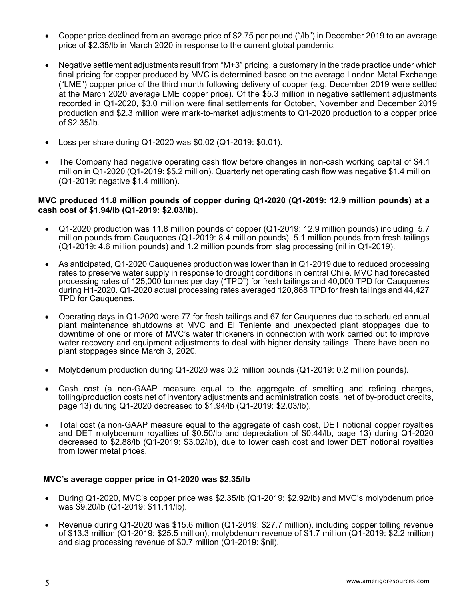- Copper price declined from an average price of \$2.75 per pound ("/lb") in December 2019 to an average price of \$2.35/lb in March 2020 in response to the current global pandemic.
- Negative settlement adjustments result from "M+3" pricing, a customary in the trade practice under which final pricing for copper produced by MVC is determined based on the average London Metal Exchange ("LME") copper price of the third month following delivery of copper (e.g. December 2019 were settled at the March 2020 average LME copper price). Of the \$5.3 million in negative settlement adjustments recorded in Q1-2020, \$3.0 million were final settlements for October, November and December 2019 production and \$2.3 million were mark-to-market adjustments to Q1-2020 production to a copper price of \$2.35/lb.
- Loss per share during Q1-2020 was \$0.02 (Q1-2019: \$0.01).
- The Company had negative operating cash flow before changes in non-cash working capital of \$4.1 million in Q1-2020 (Q1-2019: \$5.2 million). Quarterly net operating cash flow was negative \$1.4 million (Q1-2019: negative \$1.4 million).

#### **MVC produced 11.8 million pounds of copper during Q1-2020 (Q1-2019: 12.9 million pounds) at a cash cost of \$1.94/lb (Q1-2019: \$2.03/lb).**

- Q1-2020 production was 11.8 million pounds of copper (Q1-2019: 12.9 million pounds) including 5.7 million pounds from Cauquenes (Q1-2019: 8.4 million pounds), 5.1 million pounds from fresh tailings (Q1-2019: 4.6 million pounds) and 1.2 million pounds from slag processing (nil in Q1-2019).
- As anticipated, Q1-2020 Cauquenes production was lower than in Q1-2019 due to reduced processing rates to preserve water supply in response to drought conditions in central Chile. MVC had forecasted processing rates of 125,000 tonnes per day ("TPD") for fresh tailings and 40,000 TPD for Cauquenes during H1-2020. Q1-2020 actual processing rates averaged 120,868 TPD for fresh tailings and 44,427 TPD for Cauquenes.
- Operating days in Q1-2020 were 77 for fresh tailings and 67 for Cauquenes due to scheduled annual plant maintenance shutdowns at MVC and El Teniente and unexpected plant stoppages due to downtime of one or more of MVC's water thickeners in connection with work carried out to improve water recovery and equipment adjustments to deal with higher density tailings. There have been no plant stoppages since March 3, 2020.
- Molybdenum production during Q1-2020 was 0.2 million pounds (Q1-2019: 0.2 million pounds).
- Cash cost (a non-GAAP measure equal to the aggregate of smelting and refining charges, tolling/production costs net of inventory adjustments and administration costs, net of by-product credits, page 13) during Q1-2020 decreased to \$1.94/lb (Q1-2019: \$2.03/lb).
- Total cost (a non-GAAP measure equal to the aggregate of cash cost, DET notional copper royalties and DET molybdenum royalties of \$0.50/lb and depreciation of \$0.44/lb, page 13) during Q1-2020 decreased to \$2.88/lb (Q1-2019: \$3.02/lb), due to lower cash cost and lower DET notional royalties from lower metal prices.

#### **MVC's average copper price in Q1-2020 was \$2.35/lb**

- During Q1-2020, MVC's copper price was \$2.35/lb (Q1-2019: \$2.92/lb) and MVC's molybdenum price was \$9.20/lb (Q1-2019: \$11.11/lb).
- Revenue during Q1-2020 was \$15.6 million (Q1-2019: \$27.7 million), including copper tolling revenue of \$13.3 million (Q1-2019: \$25.5 million), molybdenum revenue of \$1.7 million (Q1-2019: \$2.2 million) and slag processing revenue of \$0.7 million (Q1-2019: \$nil).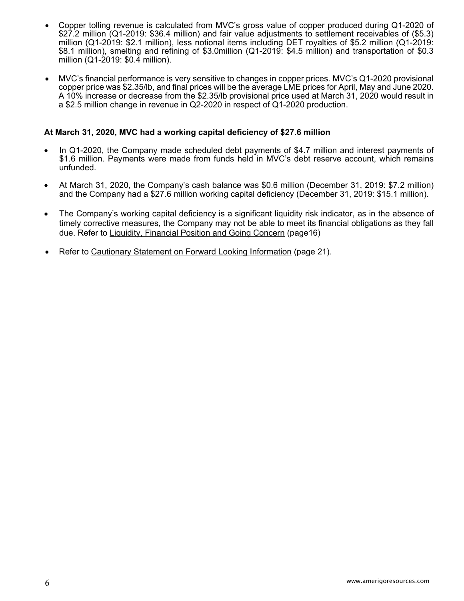- Copper tolling revenue is calculated from MVC's gross value of copper produced during Q1-2020 of \$27.2 million (Q1-2019: \$36.4 million) and fair value adjustments to settlement receivables of (\$5.3) million (Q1-2019: \$2.1 million), less notional items including DET royalties of \$5.2 million (Q1-2019: \$8.1 million), smelting and refining of \$3.0million (Q1-2019: \$4.5 million) and transportation of \$0.3 million (Q1-2019: \$0.4 million).
- MVC's financial performance is very sensitive to changes in copper prices. MVC's Q1-2020 provisional copper price was \$2.35/lb, and final prices will be the average LME prices for April, May and June 2020. A 10% increase or decrease from the \$2.35/lb provisional price used at March 31, 2020 would result in a \$2.5 million change in revenue in Q2-2020 in respect of Q1-2020 production.

#### **At March 31, 2020, MVC had a working capital deficiency of \$27.6 million**

- In Q1-2020, the Company made scheduled debt payments of \$4.7 million and interest payments of \$1.6 million. Payments were made from funds held in MVC's debt reserve account, which remains unfunded.
- At March 31, 2020, the Company's cash balance was \$0.6 million (December 31, 2019: \$7.2 million) and the Company had a \$27.6 million working capital deficiency (December 31, 2019: \$15.1 million).
- The Company's working capital deficiency is a significant liquidity risk indicator, as in the absence of timely corrective measures, the Company may not be able to meet its financial obligations as they fall due. Refer to Liquidity, Financial Position and Going Concern (page16)
- Refer to Cautionary Statement on Forward Looking Information (page 21).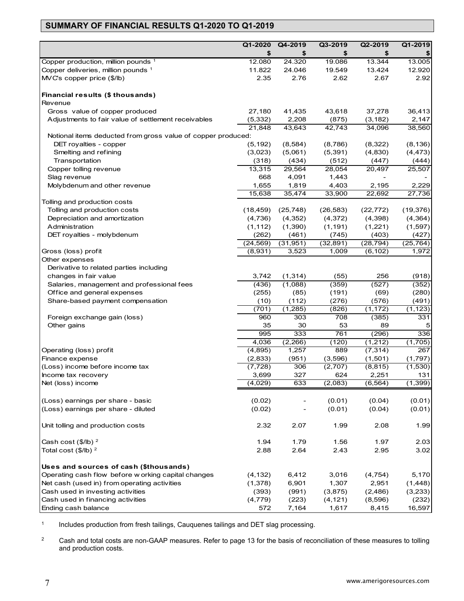# **SUMMARY OF FINANCIAL RESULTS Q1-2020 TO Q1-2019**

|                                                              | Q1-2020          | Q4-2019          | Q3-2019            | Q2-2019      | Q1-2019            |
|--------------------------------------------------------------|------------------|------------------|--------------------|--------------|--------------------|
| Copper production, million pounds 1                          | \$               | \$               | \$                 | \$<br>13.344 | \$<br>13.005       |
| Copper deliveries, million pounds 1                          | 12.080<br>11.822 | 24.320<br>24.046 | 19.086<br>19.549   | 13.424       | 12.920             |
| MVC's copper price (\$/lb)                                   | 2.35             | 2.76             | 2.62               | 2.67         | 2.92               |
|                                                              |                  |                  |                    |              |                    |
| Financial results (\$ thousands)                             |                  |                  |                    |              |                    |
| Revenue                                                      |                  |                  |                    |              |                    |
| Gross value of copper produced                               | 27,180           | 41,435           | 43,618             | 37,278       | 36,413             |
| Adjustments to fair value of settlement receivables          | (5, 332)         | 2,208            | (875)              | (3, 182)     | 2,147              |
|                                                              | 21,848           | 43,643           | 42,743             | 34,096       | 38,560             |
| Notional items deducted from gross value of copper produced: |                  |                  |                    |              |                    |
| DET royalties - copper                                       | (5, 192)         | (8, 584)         | (8,786)            | (8,322)      | (8, 136)           |
| Smelting and refining                                        | (3,023)          | (5,061)          | (5, 391)           | (4,830)      | (4, 473)           |
| Transportation                                               | (318)            | (434)            | (512)              | (447)        | (444)              |
| Copper tolling revenue                                       | 13,315           | 29,564           | 28,054             | 20,497       | 25,507             |
| Slag revenue                                                 | 668              | 4,091            | 1,443              |              |                    |
| Molybdenum and other revenue                                 | 1,655            | 1,819            | 4,403              | 2,195        | 2,229              |
|                                                              | 15,638           | 35,474           | 33,900             | 22,692       | 27,736             |
| Tolling and production costs                                 |                  |                  |                    |              |                    |
| Tolling and production costs                                 | (18, 459)        | (25, 748)        | (26, 583)          | (22, 772)    | (19, 376)          |
| Depreciation and amortization                                | (4,736)          | (4, 352)         | (4,372)            | (4,398)      | (4, 364)           |
| Administration                                               | (1, 112)         | (1,390)          | (1, 191)           | (1,221)      | (1,597)            |
| DET royalties - molybdenum                                   | (262)            | (461)            | (745)              | (403)        | (427)              |
| Gross (loss) profit                                          | (24, 569)        | (31, 951)        | (32, 891)<br>1,009 | (28, 794)    | (25, 764)<br>1,972 |
| Other expenses                                               | (8,931)          | 3,523            |                    | (6, 102)     |                    |
| Derivative to related parties including                      |                  |                  |                    |              |                    |
| changes in fair value                                        | 3,742            | (1, 314)         | (55)               | 256          | (918)              |
| Salaries, management and professional fees                   | (436)            | (1,088)          | (359)              | (527)        | (352)              |
| Office and general expenses                                  | (255)            | (85)             | (191)              | (69)         | (280)              |
| Share-based payment compensation                             | (10)             | (112)            | (276)              | (576)        | (491)              |
|                                                              | (701)            | (1, 285)         | (826)              | (1, 172)     | (1, 123)           |
| Foreign exchange gain (loss)                                 | 960              | 303              | 708                | (385)        | 331                |
| Other gains                                                  | 35               | 30               | 53                 | 89           | 5                  |
|                                                              | 995              | 333              | 761                | (296)        | 336                |
|                                                              | 4,036            | (2,266)          | (120)              | (1, 212)     | (1,705)            |
| Operating (loss) profit                                      | (4,895)          | 1,257            | 889                | (7, 314)     | 267                |
| Finance expense                                              | (2,833)          | (951)            | (3,596)            | (1,501)      | (1,797)            |
| (Loss) income before income tax                              | (7, 728)         | 306              | (2,707)            | (8, 815)     | (1, 530)           |
| Income tax recovery                                          | 3,699            | 327              | 624                | 2,251        | 131                |
| Net (loss) income                                            | (4,029)          | 633              | (2,083)            | (6, 564)     | (1, 399)           |
|                                                              |                  |                  |                    |              |                    |
| (Loss) earnings per share - basic                            | (0.02)           |                  | (0.01)             | (0.04)       | (0.01)             |
| (Loss) earnings per share - diluted                          | (0.02)           |                  | (0.01)             | (0.04)       | (0.01)             |
| Unit tolling and production costs                            | 2.32             | 2.07             | 1.99               | 2.08         | 1.99               |
| Cash cost $(\$/IB)^2$                                        | 1.94             | 1.79             | 1.56               | 1.97         | 2.03               |
| Total cost $($/lb)^2$                                        | 2.88             | 2.64             | 2.43               | 2.95         | 3.02               |
| Uses and sources of cash (\$thousands)                       |                  |                  |                    |              |                    |
| Operating cash flow before w orking capital changes          | (4, 132)         | 6,412            | 3,016              | (4, 754)     | 5,170              |
| Net cash (used in) from operating activities                 | (1,378)          | 6,901            | 1,307              | 2,951        | (1,448)            |
| Cash used in investing activities                            | (393)            | (991)            | (3,875)            | (2, 486)     | (3,233)            |
| Cash used in financing activities                            | (4, 779)         | (223)            | (4, 121)           | (8,596)      | (232)              |
| Ending cash balance                                          | 572              | 7,164            | 1,617              | 8,415        | 16,597             |

<sup>1</sup> Includes production from fresh tailings, Cauquenes tailings and DET slag processing.

<sup>2</sup> Cash and total costs are non-GAAP measures. Refer to page 13 for the basis of reconciliation of these measures to tolling and production costs.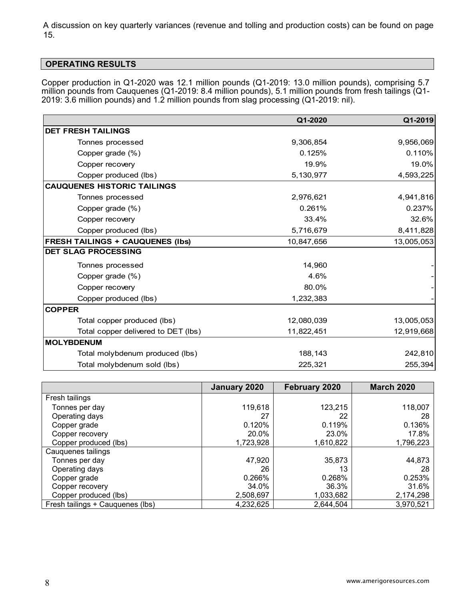A discussion on key quarterly variances (revenue and tolling and production costs) can be found on page 15.

# **OPERATING RESULTS**

Copper production in Q1-2020 was 12.1 million pounds (Q1-2019: 13.0 million pounds), comprising 5.7 million pounds from Cauquenes (Q1-2019: 8.4 million pounds), 5.1 million pounds from fresh tailings (Q1- 2019: 3.6 million pounds) and 1.2 million pounds from slag processing (Q1-2019: nil).

|                                         | Q1-2020    | Q1-2019    |
|-----------------------------------------|------------|------------|
| <b>DET FRESH TAILINGS</b>               |            |            |
| Tonnes processed                        | 9,306,854  | 9,956,069  |
| Copper grade (%)                        | 0.125%     | 0.110%     |
| Copper recovery                         | 19.9%      | 19.0%      |
| Copper produced (lbs)                   | 5,130,977  | 4,593,225  |
| <b>CAUQUENES HISTORIC TAILINGS</b>      |            |            |
| Tonnes processed                        | 2,976,621  | 4,941,816  |
| Copper grade (%)                        | 0.261%     | 0.237%     |
| Copper recovery                         | 33.4%      | 32.6%      |
| Copper produced (lbs)                   | 5,716,679  | 8,411,828  |
| <b>FRESH TAILINGS + CAUQUENES (Ibs)</b> | 10,847,656 | 13,005,053 |
| <b>DET SLAG PROCESSING</b>              |            |            |
| Tonnes processed                        | 14,960     |            |
| Copper grade (%)                        | 4.6%       |            |
| Copper recovery                         | 80.0%      |            |
| Copper produced (lbs)                   | 1,232,383  |            |
| <b>COPPER</b>                           |            |            |
| Total copper produced (lbs)             | 12,080,039 | 13,005,053 |
| Total copper delivered to DET (lbs)     | 11,822,451 | 12,919,668 |
| MOLYBDENUM                              |            |            |
| Total molybdenum produced (lbs)         | 188,143    | 242,810    |
| Total molybdenum sold (lbs)             | 225,321    | 255,394    |

|                                  | January 2020 | February 2020 | <b>March 2020</b> |
|----------------------------------|--------------|---------------|-------------------|
| Fresh tailings                   |              |               |                   |
| Tonnes per day                   | 119,618      | 123,215       | 118,007           |
| Operating days                   | 27           | 22            | 28                |
| Copper grade                     | 0.120%       | 0.119%        | 0.136%            |
| Copper recovery                  | 20.0%        | 23.0%         | 17.8%             |
| Copper produced (lbs)            | 1,723,928    | 1,610,822     | 1,796,223         |
| Cauquenes tailings               |              |               |                   |
| Tonnes per day                   | 47,920       | 35,873        | 44,873            |
| Operating days                   | 26           | 13            | 28                |
| Copper grade                     | 0.266%       | 0.268%        | 0.253%            |
| Copper recovery                  | 34.0%        | 36.3%         | 31.6%             |
| Copper produced (lbs)            | 2,508,697    | 1,033,682     | 2,174,298         |
| Fresh tailings + Cauquenes (lbs) | 4,232,625    | 2,644,504     | 3,970,521         |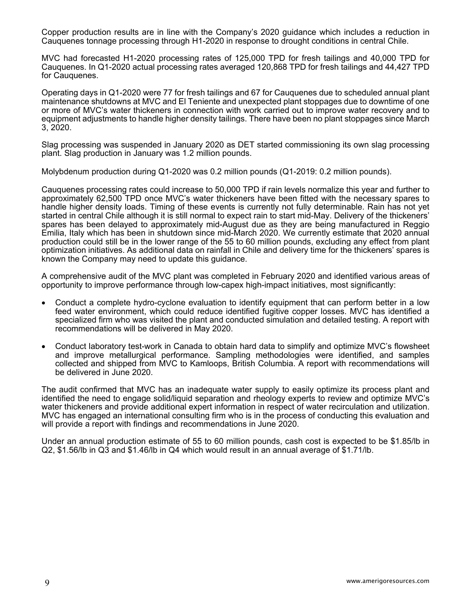Copper production results are in line with the Company's 2020 guidance which includes a reduction in Cauquenes tonnage processing through H1-2020 in response to drought conditions in central Chile.

MVC had forecasted H1-2020 processing rates of 125,000 TPD for fresh tailings and 40,000 TPD for Cauquenes. In Q1-2020 actual processing rates averaged 120,868 TPD for fresh tailings and 44,427 TPD for Cauquenes.

Operating days in Q1-2020 were 77 for fresh tailings and 67 for Cauquenes due to scheduled annual plant maintenance shutdowns at MVC and El Teniente and unexpected plant stoppages due to downtime of one or more of MVC's water thickeners in connection with work carried out to improve water recovery and to equipment adjustments to handle higher density tailings. There have been no plant stoppages since March 3, 2020.

Slag processing was suspended in January 2020 as DET started commissioning its own slag processing plant. Slag production in January was 1.2 million pounds.

Molybdenum production during Q1-2020 was 0.2 million pounds (Q1-2019: 0.2 million pounds).

Cauquenes processing rates could increase to 50,000 TPD if rain levels normalize this year and further to approximately 62,500 TPD once MVC's water thickeners have been fitted with the necessary spares to handle higher density loads. Timing of these events is currently not fully determinable. Rain has not yet started in central Chile although it is still normal to expect rain to start mid-May. Delivery of the thickeners' spares has been delayed to approximately mid-August due as they are being manufactured in Reggio Emilia, Italy which has been in shutdown since mid-March 2020. We currently estimate that 2020 annual production could still be in the lower range of the 55 to 60 million pounds, excluding any effect from plant optimization initiatives. As additional data on rainfall in Chile and delivery time for the thickeners' spares is known the Company may need to update this guidance.

A comprehensive audit of the MVC plant was completed in February 2020 and identified various areas of opportunity to improve performance through low-capex high-impact initiatives, most significantly:

- Conduct a complete hydro-cyclone evaluation to identify equipment that can perform better in a low feed water environment, which could reduce identified fugitive copper losses. MVC has identified a specialized firm who was visited the plant and conducted simulation and detailed testing. A report with recommendations will be delivered in May 2020.
- Conduct laboratory test-work in Canada to obtain hard data to simplify and optimize MVC's flowsheet and improve metallurgical performance. Sampling methodologies were identified, and samples collected and shipped from MVC to Kamloops, British Columbia. A report with recommendations will be delivered in June 2020.

The audit confirmed that MVC has an inadequate water supply to easily optimize its process plant and identified the need to engage solid/liquid separation and rheology experts to review and optimize MVC's water thickeners and provide additional expert information in respect of water recirculation and utilization. MVC has engaged an international consulting firm who is in the process of conducting this evaluation and will provide a report with findings and recommendations in June 2020.

Under an annual production estimate of 55 to 60 million pounds, cash cost is expected to be \$1.85/lb in Q2, \$1.56/lb in Q3 and \$1.46/lb in Q4 which would result in an annual average of \$1.71/lb.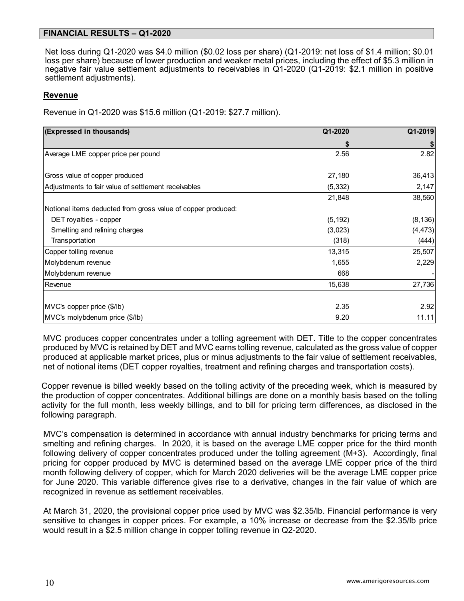## **FINANCIAL RESULTS – Q1-2020**

Net loss during Q1-2020 was \$4.0 million (\$0.02 loss per share) (Q1-2019: net loss of \$1.4 million; \$0.01 loss per share) because of lower production and weaker metal prices, including the effect of \$5.3 million in negative fair value settlement adjustments to receivables in Q1-2020 (Q1-2019: \$2.1 million in positive settlement adjustments).

#### **Revenue**

Revenue in Q1-2020 was \$15.6 million (Q1-2019: \$27.7 million).

| (Expressed in thousands)                                     | Q1-2020  | Q1-2019  |
|--------------------------------------------------------------|----------|----------|
|                                                              | S        |          |
| Average LME copper price per pound                           | 2.56     | 2.82     |
| Gross value of copper produced                               | 27,180   | 36,413   |
| Adjustments to fair value of settlement receivables          | (5, 332) | 2,147    |
|                                                              | 21,848   | 38,560   |
| Notional items deducted from gross value of copper produced: |          |          |
| DET royalties - copper                                       | (5, 192) | (8, 136) |
| Smelting and refining charges                                | (3,023)  | (4, 473) |
| Transportation                                               | (318)    | (444)    |
| Copper tolling revenue                                       | 13,315   | 25,507   |
| Molybdenum revenue                                           | 1,655    | 2,229    |
| Molybdenum revenue                                           | 668      |          |
| Revenue                                                      | 15,638   | 27,736   |
| MVC's copper price (\$/lb)                                   | 2.35     | 2.92     |
| MVC's molybdenum price (\$/lb)                               | 9.20     | 11.11    |

MVC produces copper concentrates under a tolling agreement with DET. Title to the copper concentrates produced by MVC is retained by DET and MVC earns tolling revenue, calculated as the gross value of copper produced at applicable market prices, plus or minus adjustments to the fair value of settlement receivables, net of notional items (DET copper royalties, treatment and refining charges and transportation costs).

Copper revenue is billed weekly based on the tolling activity of the preceding week, which is measured by the production of copper concentrates. Additional billings are done on a monthly basis based on the tolling activity for the full month, less weekly billings, and to bill for pricing term differences, as disclosed in the following paragraph.

MVC's compensation is determined in accordance with annual industry benchmarks for pricing terms and smelting and refining charges. In 2020, it is based on the average LME copper price for the third month following delivery of copper concentrates produced under the tolling agreement (M+3). Accordingly, final pricing for copper produced by MVC is determined based on the average LME copper price of the third month following delivery of copper, which for March 2020 deliveries will be the average LME copper price for June 2020. This variable difference gives rise to a derivative, changes in the fair value of which are recognized in revenue as settlement receivables.

At March 31, 2020, the provisional copper price used by MVC was \$2.35/lb. Financial performance is very sensitive to changes in copper prices. For example, a 10% increase or decrease from the \$2.35/lb price would result in a \$2.5 million change in copper tolling revenue in Q2-2020.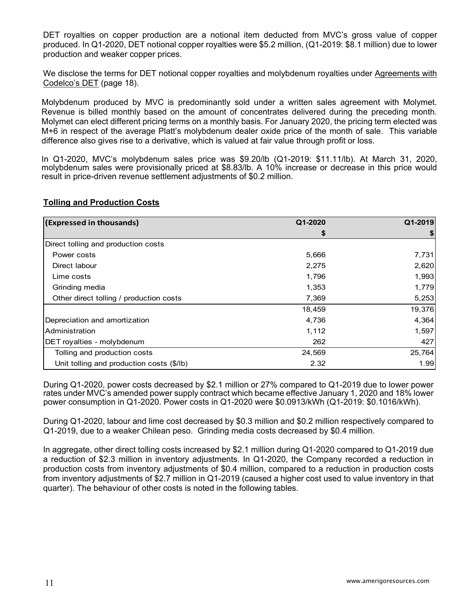DET royalties on copper production are a notional item deducted from MVC's gross value of copper produced. In Q1-2020, DET notional copper royalties were \$5.2 million, (Q1-2019: \$8.1 million) due to lower production and weaker copper prices.

We disclose the terms for DET notional copper royalties and molybdenum royalties under Agreements with Codelco's DET (page 18).

Molybdenum produced by MVC is predominantly sold under a written sales agreement with Molymet. Revenue is billed monthly based on the amount of concentrates delivered during the preceding month. Molymet can elect different pricing terms on a monthly basis. For January 2020, the pricing term elected was M+6 in respect of the average Platt's molybdenum dealer oxide price of the month of sale. This variable difference also gives rise to a derivative, which is valued at fair value through profit or loss.

In Q1-2020, MVC's molybdenum sales price was \$9.20/lb (Q1-2019: \$11.11/lb). At March 31, 2020, molybdenum sales were provisionally priced at \$8.83/lb. A 10% increase or decrease in this price would result in price-driven revenue settlement adjustments of \$0.2 million.

# **Tolling and Production Costs**

| (Expressed in thousands)                  | Q1-2020 | Q1-2019 |
|-------------------------------------------|---------|---------|
|                                           | \$      |         |
| Direct tolling and production costs       |         |         |
| Power costs                               | 5,666   | 7,731   |
| Direct labour                             | 2,275   | 2,620   |
| Lime costs                                | 1,796   | 1,993   |
| Grinding media                            | 1,353   | 1,779   |
| Other direct tolling / production costs   | 7,369   | 5,253   |
|                                           | 18,459  | 19,376  |
| Depreciation and amortization             | 4,736   | 4,364   |
| Administration                            | 1,112   | 1,597   |
| DET royalties - molybdenum                | 262     | 427     |
| Tolling and production costs              | 24,569  | 25,764  |
| Unit tolling and production costs (\$/lb) | 2.32    | 1.99    |

During Q1-2020, power costs decreased by \$2.1 million or 27% compared to Q1-2019 due to lower power rates under MVC's amended power supply contract which became effective January 1, 2020 and 18% lower power consumption in Q1-2020. Power costs in Q1-2020 were \$0.0913/kWh (Q1-2019: \$0.1016/kWh).

During Q1-2020, labour and lime cost decreased by \$0.3 million and \$0.2 million respectively compared to Q1-2019, due to a weaker Chilean peso. Grinding media costs decreased by \$0.4 million.

In aggregate, other direct tolling costs increased by \$2.1 million during Q1-2020 compared to Q1-2019 due a reduction of \$2.3 million in inventory adjustments. In Q1-2020, the Company recorded a reduction in production costs from inventory adjustments of \$0.4 million, compared to a reduction in production costs from inventory adjustments of \$2.7 million in Q1-2019 (caused a higher cost used to value inventory in that quarter). The behaviour of other costs is noted in the following tables.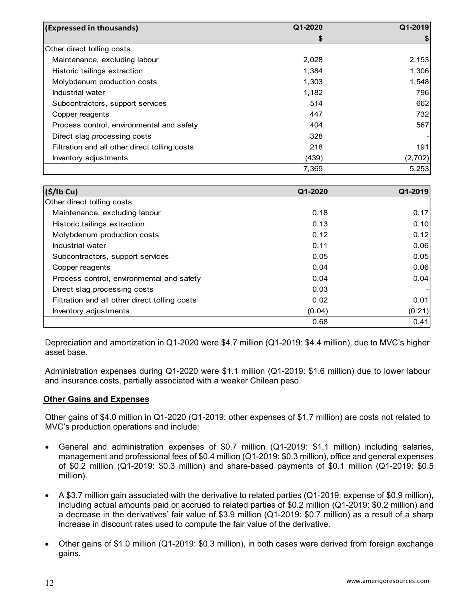| (Expressed in thousands)                      | Q1-2020 | Q1-2019 |
|-----------------------------------------------|---------|---------|
|                                               | \$      |         |
| Other direct tolling costs                    |         |         |
| Maintenance, excluding labour                 | 2,028   | 2,153   |
| Historic tailings extraction                  | 1,384   | 1,306   |
| Molybdenum production costs                   | 1,303   | 1,548   |
| Industrial water                              | 1,182   | 796     |
| Subcontractors, support services              | 514     | 662     |
| Copper reagents                               | 447     | 732     |
| Process control, environmental and safety     | 404     | 567     |
| Direct slag processing costs                  | 328     |         |
| Filtration and all other direct tolling costs | 218     | 191     |
| Inventory adjustments                         | (439)   | (2,702) |
|                                               | 7.369   | 5,253   |

| (S/lb Cu)                                     | Q1-2020 | Q1-2019 |
|-----------------------------------------------|---------|---------|
| Other direct tolling costs                    |         |         |
| Maintenance, excluding labour                 | 0.18    | 0.17    |
| Historic tailings extraction                  | 0.13    | 0.10    |
| Molybdenum production costs                   | 0.12    | 0.12    |
| Industrial water                              | 0.11    | 0.06    |
| Subcontractors, support services              | 0.05    | 0.05    |
| Copper reagents                               | 0.04    | 0.06    |
| Process control, environmental and safety     | 0.04    | 0.04    |
| Direct slag processing costs                  | 0.03    |         |
| Filtration and all other direct tolling costs | 0.02    | 0.01    |
| Inventory adjustments                         | (0.04)  | (0.21)  |
|                                               | 0.68    | 0.41    |

Depreciation and amortization in Q1-2020 were \$4.7 million (Q1-2019: \$4.4 million), due to MVC's higher asset base.

Administration expenses during Q1-2020 were \$1.1 million (Q1-2019: \$1.6 million) due to lower labour and insurance costs, partially associated with a weaker Chilean peso.

#### **Other Gains and Expenses**

Other gains of \$4.0 million in Q1-2020 (Q1-2019: other expenses of \$1.7 million) are costs not related to MVC's production operations and include:

- General and administration expenses of \$0.7 million (Q1-2019: \$1.1 million) including salaries, management and professional fees of \$0.4 million (Q1-2019: \$0.3 million), office and general expenses of \$0.2 million (Q1-2019: \$0.3 million) and share-based payments of \$0.1 million (Q1-2019: \$0.5 million).
- A \$3.7 million gain associated with the derivative to related parties (Q1-2019: expense of \$0.9 million), including actual amounts paid or accrued to related parties of \$0.2 million (Q1-2019: \$0.2 million) and a decrease in the derivatives' fair value of \$3.9 million (Q1-2019: \$0.7 million) as a result of a sharp increase in discount rates used to compute the fair value of the derivative.
- Other gains of \$1.0 million (Q1-2019: \$0.3 million), in both cases were derived from foreign exchange gains.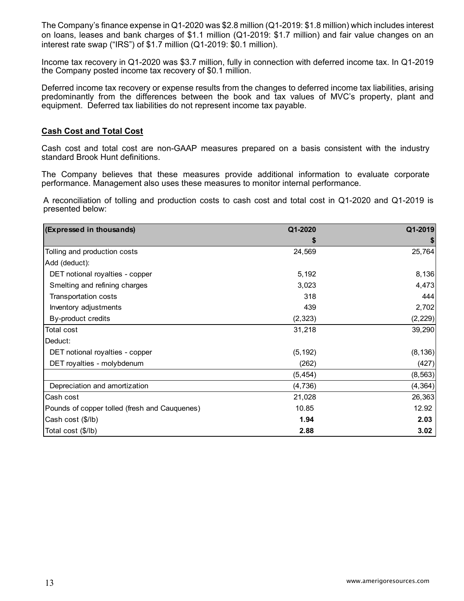The Company's finance expense in Q1-2020 was \$2.8 million (Q1-2019: \$1.8 million) which includes interest on loans, leases and bank charges of \$1.1 million (Q1-2019: \$1.7 million) and fair value changes on an interest rate swap ("IRS") of \$1.7 million (Q1-2019: \$0.1 million).

Income tax recovery in Q1-2020 was \$3.7 million, fully in connection with deferred income tax. In Q1-2019 the Company posted income tax recovery of \$0.1 million.

Deferred income tax recovery or expense results from the changes to deferred income tax liabilities, arising predominantly from the differences between the book and tax values of MVC's property, plant and equipment. Deferred tax liabilities do not represent income tax payable.

#### **Cash Cost and Total Cost**

Cash cost and total cost are non-GAAP measures prepared on a basis consistent with the industry standard Brook Hunt definitions.

The Company believes that these measures provide additional information to evaluate corporate performance. Management also uses these measures to monitor internal performance.

A reconciliation of tolling and production costs to cash cost and total cost in Q1-2020 and Q1-2019 is presented below:

| (Expressed in thousands)                      | Q1-2020  | Q1-2019  |
|-----------------------------------------------|----------|----------|
|                                               | S        |          |
| Tolling and production costs                  | 24,569   | 25,764   |
| Add (deduct):                                 |          |          |
| DET notional royalties - copper               | 5,192    | 8,136    |
| Smelting and refining charges                 | 3,023    | 4,473    |
| Transportation costs                          | 318      | 444      |
| Inventory adjustments                         | 439      | 2,702    |
| By-product credits                            | (2, 323) | (2, 229) |
| Total cost                                    | 31,218   | 39,290   |
| Deduct:                                       |          |          |
| DET notional royalties - copper               | (5, 192) | (8, 136) |
| DET royalties - molybdenum                    | (262)    | (427)    |
|                                               | (5, 454) | (8, 563) |
| Depreciation and amortization                 | (4,736)  | (4, 364) |
| Cash cost                                     | 21,028   | 26,363   |
| Pounds of copper tolled (fresh and Cauquenes) | 10.85    | 12.92    |
| Cash cost (\$/lb)                             | 1.94     | 2.03     |
| Total cost (\$/lb)                            | 2.88     | 3.02     |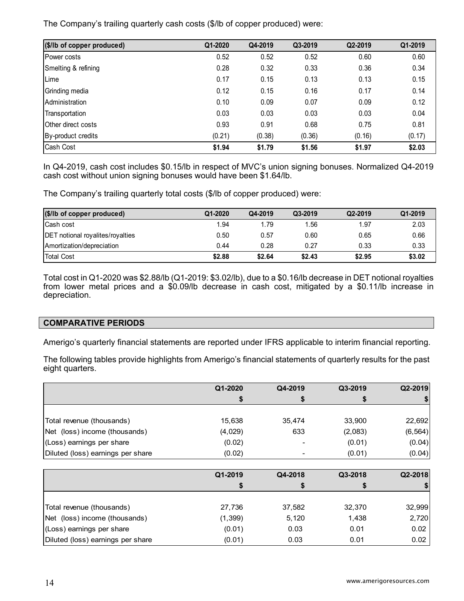The Company's trailing quarterly cash costs (\$/lb of copper produced) were:

| (\$/lb of copper produced) | Q1-2020 | Q4-2019 | Q3-2019 | Q2-2019 | Q1-2019 |
|----------------------------|---------|---------|---------|---------|---------|
| Power costs                | 0.52    | 0.52    | 0.52    | 0.60    | 0.60    |
| Smelting & refining        | 0.28    | 0.32    | 0.33    | 0.36    | 0.34    |
| Lime                       | 0.17    | 0.15    | 0.13    | 0.13    | 0.15    |
| Grinding media             | 0.12    | 0.15    | 0.16    | 0.17    | 0.14    |
| Administration             | 0.10    | 0.09    | 0.07    | 0.09    | 0.12    |
| Transportation             | 0.03    | 0.03    | 0.03    | 0.03    | 0.04    |
| Other direct costs         | 0.93    | 0.91    | 0.68    | 0.75    | 0.81    |
| By-product credits         | (0.21)  | (0.38)  | (0.36)  | (0.16)  | (0.17)  |
| Cash Cost                  | \$1.94  | \$1.79  | \$1.56  | \$1.97  | \$2.03  |

In Q4-2019, cash cost includes \$0.15/lb in respect of MVC's union signing bonuses. Normalized Q4-2019 cash cost without union signing bonuses would have been \$1.64/lb.

The Company's trailing quarterly total costs (\$/lb of copper produced) were:

| (\$/lb of copper produced)              | Q1-2020 | Q4-2019 | Q3-2019 | Q2-2019 | Q1-2019 |
|-----------------------------------------|---------|---------|---------|---------|---------|
| Cash cost                               | 1.94    | 1.79    | 1.56    | 1.97    | 2.03    |
| <b>DET</b> notional royalites/royalties | 0.50    | 0.57    | 0.60    | 0.65    | 0.66    |
| Amortization/depreciation               | 0.44    | 0.28    | 0.27    | 0.33    | 0.33    |
| <b>Total Cost</b>                       | \$2.88  | \$2.64  | \$2.43  | \$2.95  | \$3.02  |

Total cost in Q1-2020 was \$2.88/lb (Q1-2019: \$3.02/lb), due to a \$0.16/lb decrease in DET notional royalties from lower metal prices and a \$0.09/lb decrease in cash cost, mitigated by a \$0.11/lb increase in depreciation.

# **COMPARATIVE PERIODS**

Amerigo's quarterly financial statements are reported under IFRS applicable to interim financial reporting.

The following tables provide highlights from Amerigo's financial statements of quarterly results for the past eight quarters.

|                                   | Q1-2020  | Q4-2019 | Q3-2019 | Q2-2019  |
|-----------------------------------|----------|---------|---------|----------|
|                                   | \$       | \$      | \$      |          |
|                                   |          |         |         |          |
| Total revenue (thousands)         | 15,638   | 35,474  | 33,900  | 22,692   |
| Net (loss) income (thousands)     | (4,029)  | 633     | (2,083) | (6, 564) |
| (Loss) earnings per share         | (0.02)   |         | (0.01)  | (0.04)   |
| Diluted (loss) earnings per share | (0.02)   |         | (0.01)  | (0.04)   |
|                                   |          |         |         |          |
|                                   | Q1-2019  | Q4-2018 | Q3-2018 | Q2-2018  |
|                                   | \$       | \$      | \$      |          |
| Total revenue (thousands)         | 27,736   | 37,582  | 32,370  | 32,999   |
| Net (loss) income (thousands)     | (1, 399) | 5,120   | 1,438   | 2,720    |
| (Loss) earnings per share         | (0.01)   | 0.03    | 0.01    | 0.02     |
| Diluted (loss) earnings per share | (0.01)   | 0.03    | 0.01    | 0.02     |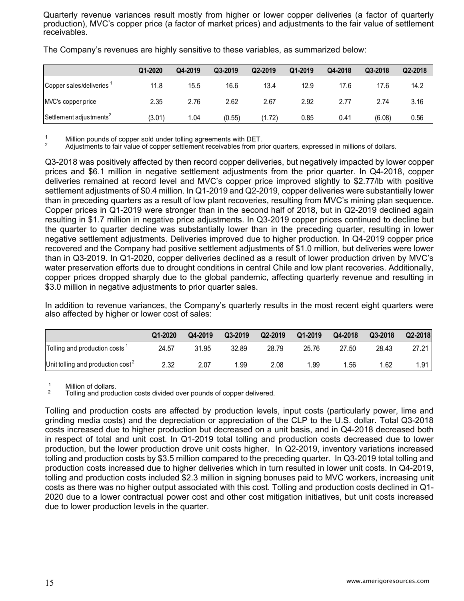Quarterly revenue variances result mostly from higher or lower copper deliveries (a factor of quarterly production), MVC's copper price (a factor of market prices) and adjustments to the fair value of settlement receivables.

|                                      | Q1-2020 | Q4-2019 | Q3-2019 | Q2-2019 | Q1-2019 | Q4-2018 | Q3-2018 | Q2-2018 |
|--------------------------------------|---------|---------|---------|---------|---------|---------|---------|---------|
| Copper sales/deliveries <sup>1</sup> | 11.8    | 15.5    | 16.6    | 13.4    | 12.9    | 17.6    | 17.6    | 14.2    |
| MVC's copper price                   | 2.35    | 2.76    | 2.62    | 2.67    | 2.92    | 2.77    | 2.74    | 3.16    |
| Settlement adjustments <sup>2</sup>  | (3.01)  | .04     | (0.55)  | (1.72)  | 0.85    | 0.41    | (6.08)  | 0.56    |

The Company's revenues are highly sensitive to these variables, as summarized below:

 $\frac{1}{2}$  Million pounds of copper sold under tolling agreements with DET.<br>2 Adjustments to fair value of copper settlement receivables from prior quarters, expressed in millions of dollars.

Q3-2018 was positively affected by then record copper deliveries, but negatively impacted by lower copper prices and \$6.1 million in negative settlement adjustments from the prior quarter. In Q4-2018, copper deliveries remained at record level and MVC's copper price improved slightly to \$2.77/lb with positive settlement adjustments of \$0.4 million. In Q1-2019 and Q2-2019, copper deliveries were substantially lower than in preceding quarters as a result of low plant recoveries, resulting from MVC's mining plan sequence. Copper prices in Q1-2019 were stronger than in the second half of 2018, but in Q2-2019 declined again resulting in \$1.7 million in negative price adjustments. In Q3-2019 copper prices continued to decline but the quarter to quarter decline was substantially lower than in the preceding quarter, resulting in lower negative settlement adjustments. Deliveries improved due to higher production. In Q4-2019 copper price recovered and the Company had positive settlement adjustments of \$1.0 million, but deliveries were lower than in Q3-2019. In Q1-2020, copper deliveries declined as a result of lower production driven by MVC's water preservation efforts due to drought conditions in central Chile and low plant recoveries. Additionally, copper prices dropped sharply due to the global pandemic, affecting quarterly revenue and resulting in \$3.0 million in negative adjustments to prior quarter sales.

In addition to revenue variances, the Company's quarterly results in the most recent eight quarters were also affected by higher or lower cost of sales:

|                                           | Q1-2020 | Q4-2019 | Q3-2019 | Q2-2019 | Q1-2019 | Q4-2018 | Q3-2018 | Q2-2018 |
|-------------------------------------------|---------|---------|---------|---------|---------|---------|---------|---------|
| Tolling and production costs <sup>1</sup> | 24.57   | 31.95   | 32.89   | 28.79   | 25.76   | 27.50   | 28.43   | 27.21   |
| Unit tolling and production $cost^2$      | 2.32    | 2.07    | .99     | 2.08    | 1.99    | .56     | 1.62    | .91     |

 $\frac{1}{2}$  Million of dollars.

2 Tolling and production costs divided over pounds of copper delivered.

Tolling and production costs are affected by production levels, input costs (particularly power, lime and grinding media costs) and the depreciation or appreciation of the CLP to the U.S. dollar. Total Q3-2018 costs increased due to higher production but decreased on a unit basis, and in Q4-2018 decreased both in respect of total and unit cost. In Q1-2019 total tolling and production costs decreased due to lower production, but the lower production drove unit costs higher. In Q2-2019, inventory variations increased tolling and production costs by \$3.5 million compared to the preceding quarter. In Q3-2019 total tolling and production costs increased due to higher deliveries which in turn resulted in lower unit costs. In Q4-2019, tolling and production costs included \$2.3 million in signing bonuses paid to MVC workers, increasing unit costs as there was no higher output associated with this cost. Tolling and production costs declined in Q1- 2020 due to a lower contractual power cost and other cost mitigation initiatives, but unit costs increased due to lower production levels in the quarter.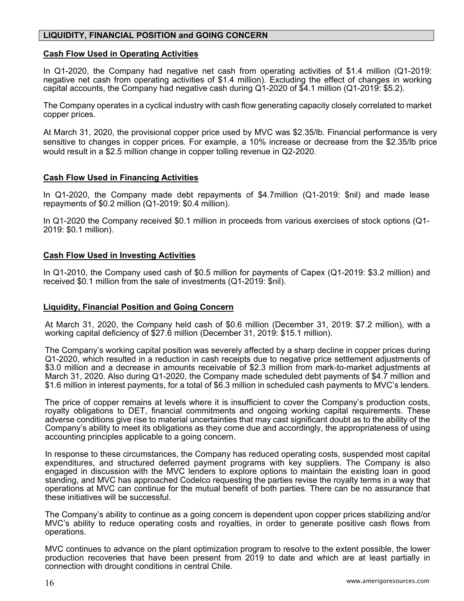# **LIQUIDITY, FINANCIAL POSITION and GOING CONCERN**

## **Cash Flow Used in Operating Activities**

In Q1-2020, the Company had negative net cash from operating activities of \$1.4 million (Q1-2019: negative net cash from operating activities of \$1.4 million). Excluding the effect of changes in working capital accounts, the Company had negative cash during Q1-2020 of \$4.1 million (Q1-2019: \$5.2).

The Company operates in a cyclical industry with cash flow generating capacity closely correlated to market copper prices.

At March 31, 2020, the provisional copper price used by MVC was \$2.35/lb. Financial performance is very sensitive to changes in copper prices. For example, a 10% increase or decrease from the \$2.35/lb price would result in a \$2.5 million change in copper tolling revenue in Q2-2020.

#### **Cash Flow Used in Financing Activities**

In Q1-2020, the Company made debt repayments of \$4.7million (Q1-2019: \$nil) and made lease repayments of \$0.2 million (Q1-2019: \$0.4 million).

In Q1-2020 the Company received \$0.1 million in proceeds from various exercises of stock options (Q1- 2019: \$0.1 million).

#### **Cash Flow Used in Investing Activities**

In Q1-2010, the Company used cash of \$0.5 million for payments of Capex (Q1-2019: \$3.2 million) and received \$0.1 million from the sale of investments (Q1-2019: \$nil).

#### **Liquidity, Financial Position and Going Concern**

At March 31, 2020, the Company held cash of \$0.6 million (December 31, 2019: \$7.2 million), with a working capital deficiency of \$27.6 million (December 31, 2019: \$15.1 million).

The Company's working capital position was severely affected by a sharp decline in copper prices during Q1-2020, which resulted in a reduction in cash receipts due to negative price settlement adjustments of \$3.0 million and a decrease in amounts receivable of \$2.3 million from mark-to-market adjustments at March 31, 2020. Also during Q1-2020, the Company made scheduled debt payments of \$4.7 million and \$1.6 million in interest payments, for a total of \$6.3 million in scheduled cash payments to MVC's lenders.

The price of copper remains at levels where it is insufficient to cover the Company's production costs, royalty obligations to DET, financial commitments and ongoing working capital requirements. These adverse conditions give rise to material uncertainties that may cast significant doubt as to the ability of the Company's ability to meet its obligations as they come due and accordingly, the appropriateness of using accounting principles applicable to a going concern.

In response to these circumstances, the Company has reduced operating costs, suspended most capital expenditures, and structured deferred payment programs with key suppliers. The Company is also engaged in discussion with the MVC lenders to explore options to maintain the existing loan in good standing, and MVC has approached Codelco requesting the parties revise the royalty terms in a way that operations at MVC can continue for the mutual benefit of both parties. There can be no assurance that these initiatives will be successful.

The Company's ability to continue as a going concern is dependent upon copper prices stabilizing and/or MVC's ability to reduce operating costs and royalties, in order to generate positive cash flows from operations.

MVC continues to advance on the plant optimization program to resolve to the extent possible, the lower production recoveries that have been present from 2019 to date and which are at least partially in connection with drought conditions in central Chile.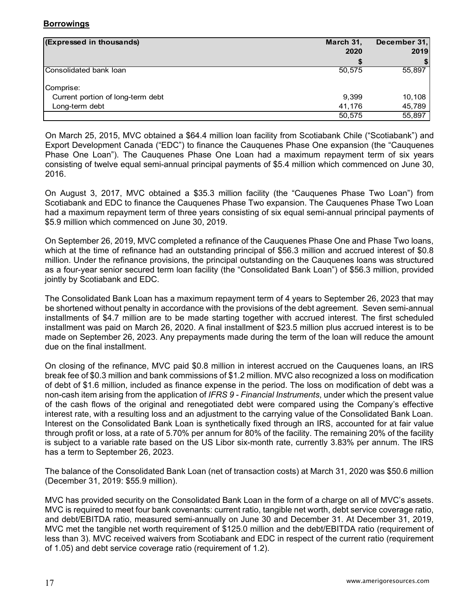# **Borrowings**

| (Expressed in thousands)          | March 31, | December 31, |  |
|-----------------------------------|-----------|--------------|--|
|                                   | 2020      | 2019         |  |
|                                   |           |              |  |
| Consolidated bank loan            | 50.575    | 55,897       |  |
|                                   |           |              |  |
| Comprise:                         |           |              |  |
| Current portion of long-term debt | 9,399     | 10,108       |  |
| Long-term debt                    | 41.176    | 45,789       |  |
|                                   | 50,575    | 55,897       |  |

On March 25, 2015, MVC obtained a \$64.4 million loan facility from Scotiabank Chile ("Scotiabank") and Export Development Canada ("EDC") to finance the Cauquenes Phase One expansion (the "Cauquenes Phase One Loan"). The Cauquenes Phase One Loan had a maximum repayment term of six years consisting of twelve equal semi-annual principal payments of \$5.4 million which commenced on June 30, 2016.

On August 3, 2017, MVC obtained a \$35.3 million facility (the "Cauquenes Phase Two Loan") from Scotiabank and EDC to finance the Cauquenes Phase Two expansion. The Cauquenes Phase Two Loan had a maximum repayment term of three years consisting of six equal semi-annual principal payments of \$5.9 million which commenced on June 30, 2019.

On September 26, 2019, MVC completed a refinance of the Cauquenes Phase One and Phase Two loans, which at the time of refinance had an outstanding principal of \$56.3 million and accrued interest of \$0.8 million. Under the refinance provisions, the principal outstanding on the Cauquenes loans was structured as a four-year senior secured term loan facility (the "Consolidated Bank Loan") of \$56.3 million, provided jointly by Scotiabank and EDC.

The Consolidated Bank Loan has a maximum repayment term of 4 years to September 26, 2023 that may be shortened without penalty in accordance with the provisions of the debt agreement. Seven semi-annual installments of \$4.7 million are to be made starting together with accrued interest. The first scheduled installment was paid on March 26, 2020. A final installment of \$23.5 million plus accrued interest is to be made on September 26, 2023. Any prepayments made during the term of the loan will reduce the amount due on the final installment.

On closing of the refinance, MVC paid \$0.8 million in interest accrued on the Cauquenes loans, an IRS break fee of \$0.3 million and bank commissions of \$1.2 million. MVC also recognized a loss on modification of debt of \$1.6 million, included as finance expense in the period. The loss on modification of debt was a non-cash item arising from the application of *IFRS 9 - Financial Instruments*, under which the present value of the cash flows of the original and renegotiated debt were compared using the Company's effective interest rate, with a resulting loss and an adjustment to the carrying value of the Consolidated Bank Loan. Interest on the Consolidated Bank Loan is synthetically fixed through an IRS, accounted for at fair value through profit or loss, at a rate of 5.70% per annum for 80% of the facility. The remaining 20% of the facility is subject to a variable rate based on the US Libor six-month rate, currently 3.83% per annum. The IRS has a term to September 26, 2023.

The balance of the Consolidated Bank Loan (net of transaction costs) at March 31, 2020 was \$50.6 million (December 31, 2019: \$55.9 million).

MVC has provided security on the Consolidated Bank Loan in the form of a charge on all of MVC's assets. MVC is required to meet four bank covenants: current ratio, tangible net worth, debt service coverage ratio, and debt/EBITDA ratio, measured semi-annually on June 30 and December 31. At December 31, 2019, MVC met the tangible net worth requirement of \$125.0 million and the debt/EBITDA ratio (requirement of less than 3). MVC received waivers from Scotiabank and EDC in respect of the current ratio (requirement of 1.05) and debt service coverage ratio (requirement of 1.2).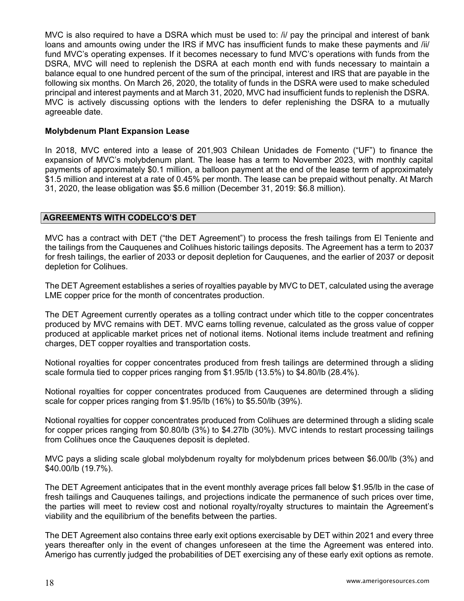MVC is also required to have a DSRA which must be used to: /i/ pay the principal and interest of bank loans and amounts owing under the IRS if MVC has insufficient funds to make these payments and /ii/ fund MVC's operating expenses. If it becomes necessary to fund MVC's operations with funds from the DSRA, MVC will need to replenish the DSRA at each month end with funds necessary to maintain a balance equal to one hundred percent of the sum of the principal, interest and IRS that are payable in the following six months. On March 26, 2020, the totality of funds in the DSRA were used to make scheduled principal and interest payments and at March 31, 2020, MVC had insufficient funds to replenish the DSRA. MVC is actively discussing options with the lenders to defer replenishing the DSRA to a mutually agreeable date.

## **Molybdenum Plant Expansion Lease**

In 2018, MVC entered into a lease of 201,903 Chilean Unidades de Fomento ("UF") to finance the expansion of MVC's molybdenum plant. The lease has a term to November 2023, with monthly capital payments of approximately \$0.1 million, a balloon payment at the end of the lease term of approximately \$1.5 million and interest at a rate of 0.45% per month. The lease can be prepaid without penalty. At March 31, 2020, the lease obligation was \$5.6 million (December 31, 2019: \$6.8 million).

#### **AGREEMENTS WITH CODELCO'S DET**

MVC has a contract with DET ("the DET Agreement") to process the fresh tailings from El Teniente and the tailings from the Cauquenes and Colihues historic tailings deposits. The Agreement has a term to 2037 for fresh tailings, the earlier of 2033 or deposit depletion for Cauquenes, and the earlier of 2037 or deposit depletion for Colihues.

The DET Agreement establishes a series of royalties payable by MVC to DET, calculated using the average LME copper price for the month of concentrates production.

The DET Agreement currently operates as a tolling contract under which title to the copper concentrates produced by MVC remains with DET. MVC earns tolling revenue, calculated as the gross value of copper produced at applicable market prices net of notional items. Notional items include treatment and refining charges, DET copper royalties and transportation costs.

Notional royalties for copper concentrates produced from fresh tailings are determined through a sliding scale formula tied to copper prices ranging from \$1.95/lb (13.5%) to \$4.80/lb (28.4%).

Notional royalties for copper concentrates produced from Cauquenes are determined through a sliding scale for copper prices ranging from \$1.95/lb (16%) to \$5.50/lb (39%).

Notional royalties for copper concentrates produced from Colihues are determined through a sliding scale for copper prices ranging from \$0.80/lb (3%) to \$4.27lb (30%). MVC intends to restart processing tailings from Colihues once the Cauquenes deposit is depleted.

MVC pays a sliding scale global molybdenum royalty for molybdenum prices between \$6.00/lb (3%) and \$40.00/lb (19.7%).

The DET Agreement anticipates that in the event monthly average prices fall below \$1.95/lb in the case of fresh tailings and Cauquenes tailings, and projections indicate the permanence of such prices over time, the parties will meet to review cost and notional royalty/royalty structures to maintain the Agreement's viability and the equilibrium of the benefits between the parties.

The DET Agreement also contains three early exit options exercisable by DET within 2021 and every three years thereafter only in the event of changes unforeseen at the time the Agreement was entered into. Amerigo has currently judged the probabilities of DET exercising any of these early exit options as remote.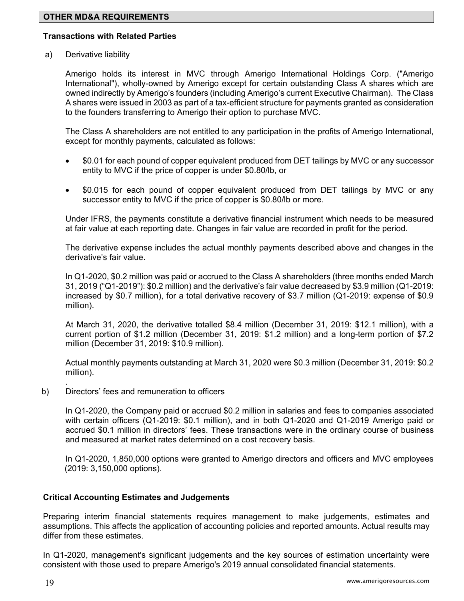## **Transactions with Related Parties**

a) Derivative liability

Amerigo holds its interest in MVC through Amerigo International Holdings Corp. ("Amerigo International"), wholly-owned by Amerigo except for certain outstanding Class A shares which are owned indirectly by Amerigo's founders (including Amerigo's current Executive Chairman). The Class A shares were issued in 2003 as part of a tax-efficient structure for payments granted as consideration to the founders transferring to Amerigo their option to purchase MVC.

The Class A shareholders are not entitled to any participation in the profits of Amerigo International, except for monthly payments, calculated as follows:

- \$0.01 for each pound of copper equivalent produced from DET tailings by MVC or any successor entity to MVC if the price of copper is under \$0.80/lb, or
- \$0.015 for each pound of copper equivalent produced from DET tailings by MVC or any successor entity to MVC if the price of copper is \$0.80/lb or more.

Under IFRS, the payments constitute a derivative financial instrument which needs to be measured at fair value at each reporting date. Changes in fair value are recorded in profit for the period.

The derivative expense includes the actual monthly payments described above and changes in the derivative's fair value.

In Q1-2020, \$0.2 million was paid or accrued to the Class A shareholders (three months ended March 31, 2019 ("Q1-2019"): \$0.2 million) and the derivative's fair value decreased by \$3.9 million (Q1-2019: increased by \$0.7 million), for a total derivative recovery of \$3.7 million (Q1-2019: expense of \$0.9 million).

At March 31, 2020, the derivative totalled \$8.4 million (December 31, 2019: \$12.1 million), with a current portion of \$1.2 million (December 31, 2019: \$1.2 million) and a long-term portion of \$7.2 million (December 31, 2019: \$10.9 million).

Actual monthly payments outstanding at March 31, 2020 were \$0.3 million (December 31, 2019: \$0.2 million).

b) Directors' fees and remuneration to officers

 In Q1-2020, the Company paid or accrued \$0.2 million in salaries and fees to companies associated with certain officers (Q1-2019: \$0.1 million), and in both Q1-2020 and Q1-2019 Amerigo paid or accrued \$0.1 million in directors' fees. These transactions were in the ordinary course of business and measured at market rates determined on a cost recovery basis.

 In Q1-2020, 1,850,000 options were granted to Amerigo directors and officers and MVC employees (2019: 3,150,000 options).

#### **Critical Accounting Estimates and Judgements**

Preparing interim financial statements requires management to make judgements, estimates and assumptions. This affects the application of accounting policies and reported amounts. Actual results may differ from these estimates.

In Q1-2020, management's significant judgements and the key sources of estimation uncertainty were consistent with those used to prepare Amerigo's 2019 annual consolidated financial statements.

.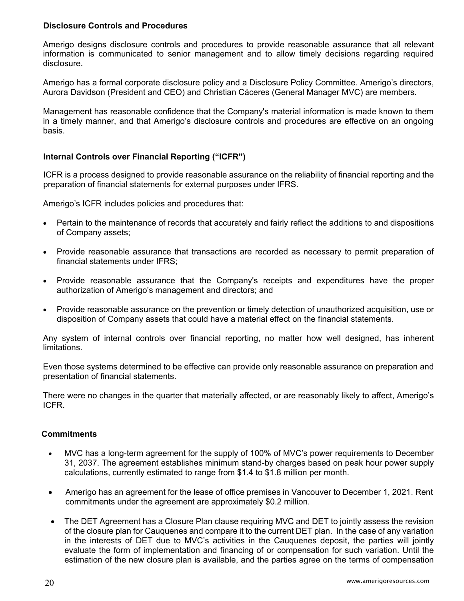## **Disclosure Controls and Procedures**

Amerigo designs disclosure controls and procedures to provide reasonable assurance that all relevant information is communicated to senior management and to allow timely decisions regarding required disclosure.

Amerigo has a formal corporate disclosure policy and a Disclosure Policy Committee. Amerigo's directors, Aurora Davidson (President and CEO) and Christian Cáceres (General Manager MVC) are members.

Management has reasonable confidence that the Company's material information is made known to them in a timely manner, and that Amerigo's disclosure controls and procedures are effective on an ongoing basis.

# **Internal Controls over Financial Reporting ("ICFR")**

ICFR is a process designed to provide reasonable assurance on the reliability of financial reporting and the preparation of financial statements for external purposes under IFRS.

Amerigo's ICFR includes policies and procedures that:

- Pertain to the maintenance of records that accurately and fairly reflect the additions to and dispositions of Company assets;
- Provide reasonable assurance that transactions are recorded as necessary to permit preparation of financial statements under IFRS;
- Provide reasonable assurance that the Company's receipts and expenditures have the proper authorization of Amerigo's management and directors; and
- Provide reasonable assurance on the prevention or timely detection of unauthorized acquisition, use or disposition of Company assets that could have a material effect on the financial statements.

Any system of internal controls over financial reporting, no matter how well designed, has inherent limitations.

Even those systems determined to be effective can provide only reasonable assurance on preparation and presentation of financial statements.

There were no changes in the quarter that materially affected, or are reasonably likely to affect, Amerigo's ICFR.

# **Commitments**

- MVC has a long-term agreement for the supply of 100% of MVC's power requirements to December 31, 2037. The agreement establishes minimum stand-by charges based on peak hour power supply calculations, currently estimated to range from \$1.4 to \$1.8 million per month.
- Amerigo has an agreement for the lease of office premises in Vancouver to December 1, 2021. Rent commitments under the agreement are approximately \$0.2 million.
- The DET Agreement has a Closure Plan clause requiring MVC and DET to jointly assess the revision of the closure plan for Cauquenes and compare it to the current DET plan. In the case of any variation in the interests of DET due to MVC's activities in the Cauquenes deposit, the parties will jointly evaluate the form of implementation and financing of or compensation for such variation. Until the estimation of the new closure plan is available, and the parties agree on the terms of compensation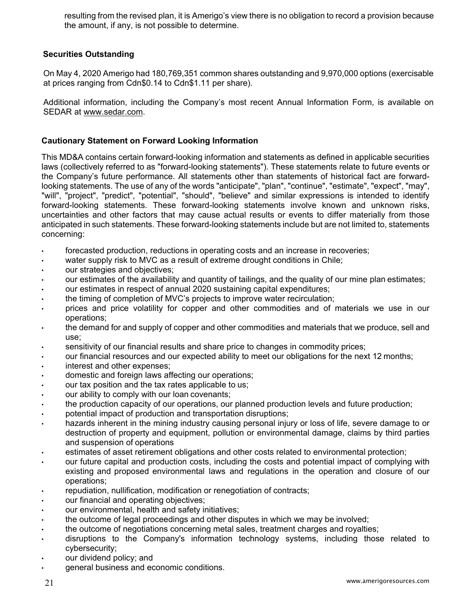resulting from the revised plan, it is Amerigo's view there is no obligation to record a provision because the amount, if any, is not possible to determine.

# **Securities Outstanding**

On May 4, 2020 Amerigo had 180,769,351 common shares outstanding and 9,970,000 options (exercisable at prices ranging from Cdn\$0.14 to Cdn\$1.11 per share).

Additional information, including the Company's most recent Annual Information Form, is available on SEDAR at www.sedar.com.

# **Cautionary Statement on Forward Looking Information**

This MD&A contains certain forward-looking information and statements as defined in applicable securities laws (collectively referred to as "forward-looking statements"). These statements relate to future events or the Company's future performance. All statements other than statements of historical fact are forwardlooking statements. The use of any of the words "anticipate", "plan", "continue", "estimate", "expect", "may", "will", "project", "predict", "potential", "should", "believe" and similar expressions is intended to identify forward-looking statements. These forward-looking statements involve known and unknown risks, uncertainties and other factors that may cause actual results or events to differ materially from those anticipated in such statements. These forward-looking statements include but are not limited to, statements concerning:

- forecasted production, reductions in operating costs and an increase in recoveries;
- water supply risk to MVC as a result of extreme drought conditions in Chile;
- our strategies and objectives;
- our estimates of the availability and quantity of tailings, and the quality of our mine plan estimates;
- our estimates in respect of annual 2020 sustaining capital expenditures;
- the timing of completion of MVC's projects to improve water recirculation;
- prices and price volatility for copper and other commodities and of materials we use in our operations;
- the demand for and supply of copper and other commodities and materials that we produce, sell and use;
- sensitivity of our financial results and share price to changes in commodity prices;
- our financial resources and our expected ability to meet our obligations for the next 12 months;
- interest and other expenses;
- domestic and foreign laws affecting our operations;
- our tax position and the tax rates applicable to us;
- our ability to comply with our loan covenants;
- the production capacity of our operations, our planned production levels and future production;
- potential impact of production and transportation disruptions;
- hazards inherent in the mining industry causing personal injury or loss of life, severe damage to or destruction of property and equipment, pollution or environmental damage, claims by third parties and suspension of operations
- estimates of asset retirement obligations and other costs related to environmental protection;
- our future capital and production costs, including the costs and potential impact of complying with existing and proposed environmental laws and regulations in the operation and closure of our operations;
- repudiation, nullification, modification or renegotiation of contracts;
- our financial and operating objectives;
- our environmental, health and safety initiatives;
- the outcome of legal proceedings and other disputes in which we may be involved;
- the outcome of negotiations concerning metal sales, treatment charges and royalties;
- disruptions to the Company's information technology systems, including those related to cybersecurity;
- our dividend policy; and
- general business and economic conditions.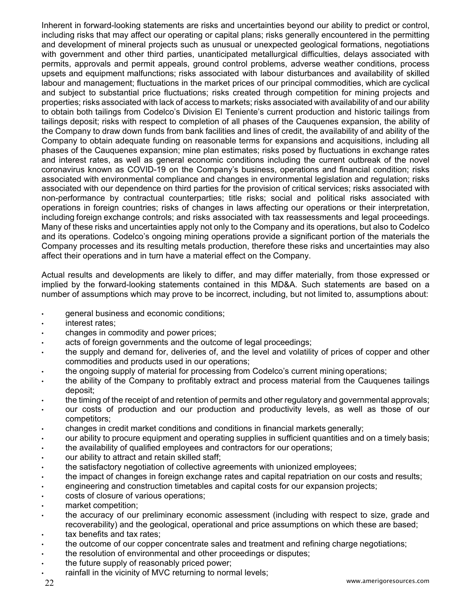Inherent in forward-looking statements are risks and uncertainties beyond our ability to predict or control, including risks that may affect our operating or capital plans; risks generally encountered in the permitting and development of mineral projects such as unusual or unexpected geological formations, negotiations with government and other third parties, unanticipated metallurgical difficulties, delays associated with permits, approvals and permit appeals, ground control problems, adverse weather conditions, process upsets and equipment malfunctions; risks associated with labour disturbances and availability of skilled labour and management; fluctuations in the market prices of our principal commodities, which are cyclical and subject to substantial price fluctuations; risks created through competition for mining projects and properties; risks associated with lack of access to markets; risks associated with availability of and our ability to obtain both tailings from Codelco's Division El Teniente's current production and historic tailings from tailings deposit; risks with respect to completion of all phases of the Cauquenes expansion, the ability of the Company to draw down funds from bank facilities and lines of credit, the availability of and ability of the Company to obtain adequate funding on reasonable terms for expansions and acquisitions, including all phases of the Cauquenes expansion; mine plan estimates; risks posed by fluctuations in exchange rates and interest rates, as well as general economic conditions including the current outbreak of the novel coronavirus known as COVID-19 on the Company's business, operations and financial condition; risks associated with environmental compliance and changes in environmental legislation and regulation; risks associated with our dependence on third parties for the provision of critical services; risks associated with non-performance by contractual counterparties; title risks; social and political risks associated with operations in foreign countries; risks of changes in laws affecting our operations or their interpretation, including foreign exchange controls; and risks associated with tax reassessments and legal proceedings. Many of these risks and uncertainties apply not only to the Company and its operations, but also to Codelco and its operations. Codelco's ongoing mining operations provide a significant portion of the materials the Company processes and its resulting metals production, therefore these risks and uncertainties may also affect their operations and in turn have a material effect on the Company.

Actual results and developments are likely to differ, and may differ materially, from those expressed or implied by the forward-looking statements contained in this MD&A. Such statements are based on a number of assumptions which may prove to be incorrect, including, but not limited to, assumptions about:

- general business and economic conditions;
- interest rates;
- changes in commodity and power prices;
- acts of foreign governments and the outcome of legal proceedings;
- the supply and demand for, deliveries of, and the level and volatility of prices of copper and other commodities and products used in our operations;
- the ongoing supply of material for processing from Codelco's current mining operations;
- the ability of the Company to profitably extract and process material from the Cauquenes tailings deposit;
- the timing of the receipt of and retention of permits and other regulatory and governmental approvals;
- our costs of production and our production and productivity levels, as well as those of our competitors;
- changes in credit market conditions and conditions in financial markets generally;
- our ability to procure equipment and operating supplies in sufficient quantities and on a timely basis;
- the availability of qualified employees and contractors for our operations;
- our ability to attract and retain skilled staff;
- the satisfactory negotiation of collective agreements with unionized employees;
- the impact of changes in foreign exchange rates and capital repatriation on our costs and results;
- engineering and construction timetables and capital costs for our expansion projects;
- costs of closure of various operations;
- market competition;
- the accuracy of our preliminary economic assessment (including with respect to size, grade and recoverability) and the geological, operational and price assumptions on which these are based;
- tax benefits and tax rates;
- the outcome of our copper concentrate sales and treatment and refining charge negotiations;
- the resolution of environmental and other proceedings or disputes;
- the future supply of reasonably priced power;
- rainfall in the vicinity of MVC returning to normal levels;